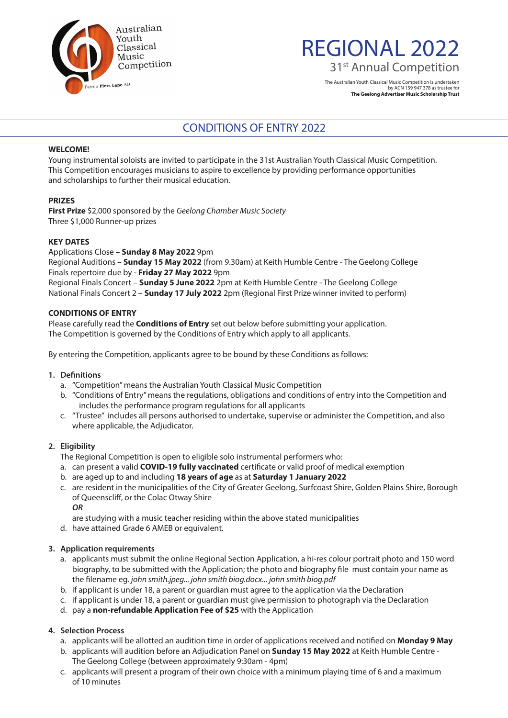

# REGIONAL 2022 31<sup>st</sup> Annual Competition

The Australian Youth Classical Music Competition is undertaken by ACN 159 947 378 as trustee for **The Geelong Advertiser Music Scholarship Trust**

## CONDITIONS OF ENTRY 2022

#### **WELCOME!**

Young instrumental soloists are invited to participate in the 31st Australian Youth Classical Music Competition. This Competition encourages musicians to aspire to excellence by providing performance opportunities and scholarships to further their musical education.

#### **PRIZES**

**First Prize** \$2,000 sponsored by the *Geelong Chamber Music Society* Three \$1,000 Runner-up prizes

#### **KEY DATES**

Applications Close – **Sunday 8 May 2022** 9pm Regional Auditions – **Sunday 15 May 2022** (from 9.30am) at Keith Humble Centre - The Geelong College Finals repertoire due by - **Friday 27 May 2022** 9pm Regional Finals Concert – **Sunday 5 June 2022** 2pm at Keith Humble Centre - The Geelong College National Finals Concert 2 – **Sunday 17 July 2022** 2pm (Regional First Prize winner invited to perform)

#### **CONDITIONS OF ENTRY**

Please carefully read the **Conditions of Entry** set out below before submitting your application. The Competition is governed by the Conditions of Entry which apply to all applicants.

By entering the Competition, applicants agree to be bound by these Conditions as follows:

#### **1. Definitions**

- a. "Competition" means the Australian Youth Classical Music Competition
- b. "Conditions of Entry" means the regulations, obligations and conditions of entry into the Competition and includes the performance program regulations for all applicants
- c. "Trustee" includes all persons authorised to undertake, supervise or administer the Competition, and also where applicable, the Adjudicator.

#### **2. Eligibility**

The Regional Competition is open to eligible solo instrumental performers who:

- a. can present a valid **COVID-19 fully vaccinated** certificate or valid proof of medical exemption
- b. are aged up to and including **18 years of age** as at **Saturday 1 January 2022**
- c. are resident in the municipalities of the City of Greater Geelong, Surfcoast Shire, Golden Plains Shire, Borough of Queenscliff, or the Colac Otway Shire

*OR*

- are studying with a music teacher residing within the above stated municipalities
- d. have attained Grade 6 AMEB or equivalent.

#### **3. Application requirements**

- a. applicants must submit the online Regional Section Application, a hi-res colour portrait photo and 150 word biography, to be submitted with the Application; the photo and biography file must contain your name as the filename eg. *john smith.jpeg... john smith biog.docx... john smith biog.pdf*
- b. if applicant is under 18, a parent or guardian must agree to the application via the Declaration
- c. if applicant is under 18, a parent or guardian must give permission to photograph via the Declaration
- d. pay a **non-refundable Application Fee of \$25** with the Application

#### **4. Selection Process**

- a. applicants will be allotted an audition time in order of applications received and notified on **Monday 9 May**
- b. applicants will audition before an Adjudication Panel on **Sunday 15 May 2022** at Keith Humble Centre The Geelong College (between approximately 9:30am - 4pm)
- c. applicants will present a program of their own choice with a minimum playing time of 6 and a maximum of 10 minutes